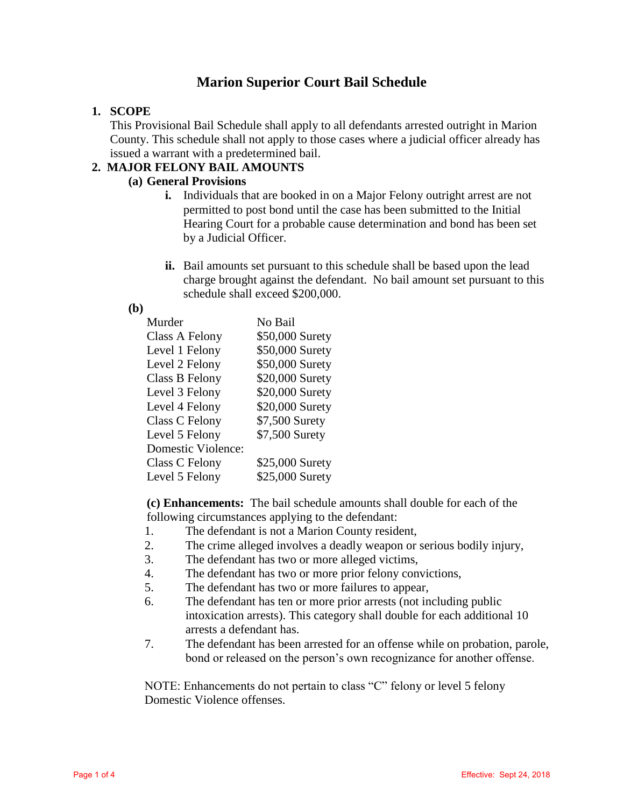# **Marion Superior Court Bail Schedule**

## **1. SCOPE**

This Provisional Bail Schedule shall apply to all defendants arrested outright in Marion County. This schedule shall not apply to those cases where a judicial officer already has issued a warrant with a predetermined bail.

## **2. MAJOR FELONY BAIL AMOUNTS**

## **(a) General Provisions**

- **i.** Individuals that are booked in on a Major Felony outright arrest are not permitted to post bond until the case has been submitted to the Initial Hearing Court for a probable cause determination and bond has been set by a Judicial Officer.
- **ii.** Bail amounts set pursuant to this schedule shall be based upon the lead charge brought against the defendant. No bail amount set pursuant to this schedule shall exceed \$200,000.

## **(b)**

| Murder             | No Bail         |
|--------------------|-----------------|
| Class A Felony     | \$50,000 Surety |
| Level 1 Felony     | \$50,000 Surety |
| Level 2 Felony     | \$50,000 Surety |
| Class B Felony     | \$20,000 Surety |
| Level 3 Felony     | \$20,000 Surety |
| Level 4 Felony     | \$20,000 Surety |
| Class C Felony     | \$7,500 Surety  |
| Level 5 Felony     | \$7,500 Surety  |
| Domestic Violence: |                 |
| Class C Felony     | \$25,000 Surety |
| Level 5 Felony     | \$25,000 Surety |

**(c) Enhancements:** The bail schedule amounts shall double for each of the following circumstances applying to the defendant:

- 1. The defendant is not a Marion County resident,
- 2. The crime alleged involves a deadly weapon or serious bodily injury,
- 3. The defendant has two or more alleged victims,
- 4. The defendant has two or more prior felony convictions,
- 5. The defendant has two or more failures to appear,
- 6. The defendant has ten or more prior arrests (not including public intoxication arrests). This category shall double for each additional 10 arrests a defendant has.
- 7. The defendant has been arrested for an offense while on probation, parole, bond or released on the person's own recognizance for another offense.

NOTE: Enhancements do not pertain to class "C" felony or level 5 felony Domestic Violence offenses.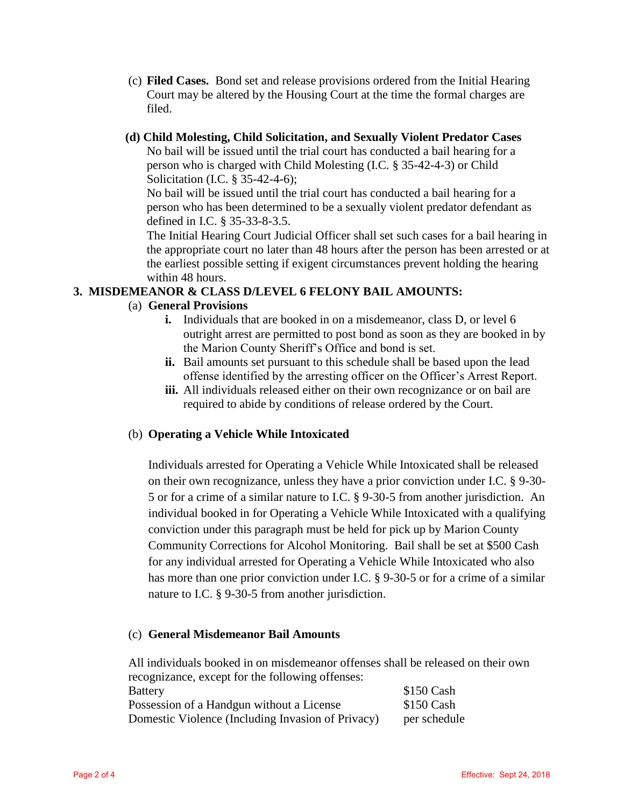- (c) **Filed Cases.** Bond set and release provisions ordered from the Initial Hearing Court may be altered by the Housing Court at the time the formal charges are filed.
- **(d) Child Molesting, Child Solicitation, and Sexually Violent Predator Cases**

No bail will be issued until the trial court has conducted a bail hearing for a person who is charged with Child Molesting (I.C. § 35-42-4-3) or Child Solicitation (I.C. § 35-42-4-6);

No bail will be issued until the trial court has conducted a bail hearing for a person who has been determined to be a sexually violent predator defendant as defined in I.C. § 35-33-8-3.5.

The Initial Hearing Court Judicial Officer shall set such cases for a bail hearing in the appropriate court no later than 48 hours after the person has been arrested or at the earliest possible setting if exigent circumstances prevent holding the hearing within 48 hours.

## **3. MISDEMEANOR & CLASS D/LEVEL 6 FELONY BAIL AMOUNTS:**

## (a) **General Provisions**

- **i.** Individuals that are booked in on a misdemeanor, class D, or level 6 outright arrest are permitted to post bond as soon as they are booked in by the Marion County Sheriff's Office and bond is set.
- **ii.** Bail amounts set pursuant to this schedule shall be based upon the lead offense identified by the arresting officer on the Officer's Arrest Report.
- **iii.** All individuals released either on their own recognizance or on bail are required to abide by conditions of release ordered by the Court.

## (b) **Operating a Vehicle While Intoxicated**

Individuals arrested for Operating a Vehicle While Intoxicated shall be released on their own recognizance, unless they have a prior conviction under I.C. § 9-30- 5 or for a crime of a similar nature to I.C. § 9-30-5 from another jurisdiction. An individual booked in for Operating a Vehicle While Intoxicated with a qualifying conviction under this paragraph must be held for pick up by Marion County Community Corrections for Alcohol Monitoring. Bail shall be set at \$500 Cash for any individual arrested for Operating a Vehicle While Intoxicated who also has more than one prior conviction under I.C. § 9-30-5 or for a crime of a similar nature to I.C. § 9-30-5 from another jurisdiction.

## (c) **General Misdemeanor Bail Amounts**

All individuals booked in on misdemeanor offenses shall be released on their own recognizance, except for the following offenses: Battery \$150 Cash Possession of a Handgun without a License \$150 Cash Domestic Violence (Including Invasion of Privacy) per schedule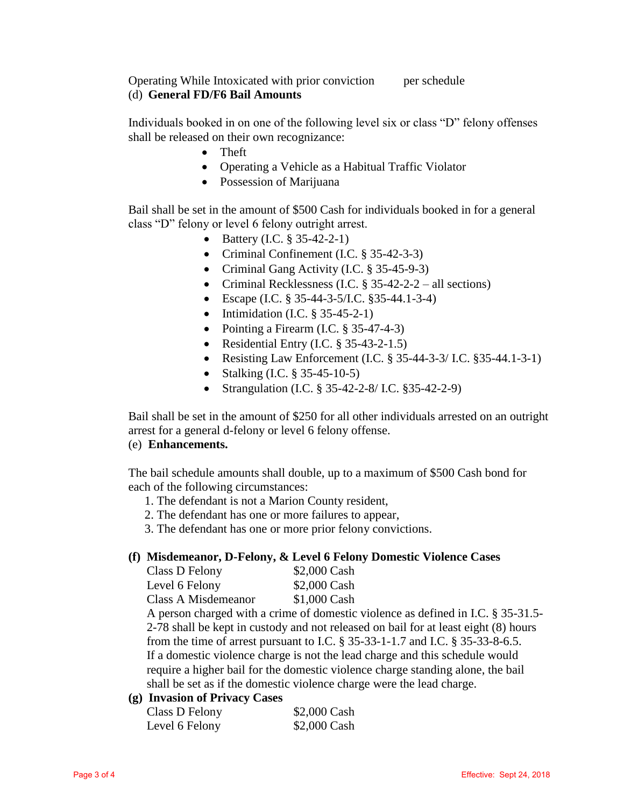Operating While Intoxicated with prior conviction per schedule (d) **General FD/F6 Bail Amounts**

Individuals booked in on one of the following level six or class "D" felony offenses shall be released on their own recognizance:

- Theft
- Operating a Vehicle as a Habitual Traffic Violator
- Possession of Marijuana

Bail shall be set in the amount of \$500 Cash for individuals booked in for a general class "D" felony or level 6 felony outright arrest.

- Battery (I.C.  $\S 35-42-2-1$ )
- Criminal Confinement (I.C. § 35-42-3-3)
- Criminal Gang Activity (I.C. § 35-45-9-3)
- Criminal Recklessness (I.C. § 35-42-2-2 all sections)
- Escape (I.C. § 35-44-3-5/I.C. §35-44.1-3-4)
- Intimidation (I.C.  $\S$  35-45-2-1)
- Pointing a Firearm (I.C. § 35-47-4-3)
- Residential Entry  $(I.C. § 35-43-2-1.5)$
- Resisting Law Enforcement (I.C. § 35-44-3-3/ I.C. § 35-44.1-3-1)
- Stalking (I.C. § 35-45-10-5)
- Strangulation (I.C. § 35-42-2-8/ I.C. § 35-42-2-9)

Bail shall be set in the amount of \$250 for all other individuals arrested on an outright arrest for a general d-felony or level 6 felony offense.

#### (e) **Enhancements.**

The bail schedule amounts shall double, up to a maximum of \$500 Cash bond for each of the following circumstances:

- 1. The defendant is not a Marion County resident,
- 2. The defendant has one or more failures to appear,
- 3. The defendant has one or more prior felony convictions.

#### **(f) Misdemeanor, D-Felony, & Level 6 Felony Domestic Violence Cases**

| Class D Felony      | \$2,000 Cash |
|---------------------|--------------|
| Level 6 Felony      | \$2,000 Cash |
| Class A Misdemeanor | \$1,000 Cash |

A person charged with a crime of domestic violence as defined in I.C. § 35-31.5- 2-78 shall be kept in custody and not released on bail for at least eight (8) hours from the time of arrest pursuant to I.C. § 35-33-1-1.7 and I.C. § 35-33-8-6.5. If a domestic violence charge is not the lead charge and this schedule would require a higher bail for the domestic violence charge standing alone, the bail shall be set as if the domestic violence charge were the lead charge.

## **(g) Invasion of Privacy Cases**

| Class D Felony | \$2,000 Cash |
|----------------|--------------|
| Level 6 Felony | \$2,000 Cash |